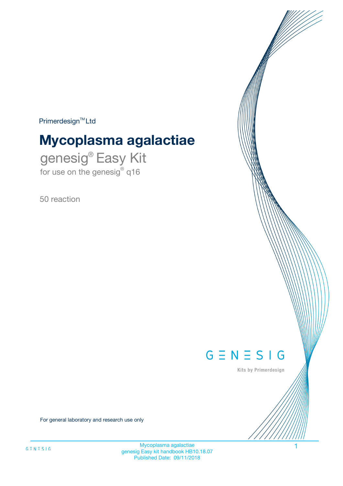$Primerdesign^{\text{TM}}Ltd$ 

# **Mycoplasma agalactiae**

genesig® Easy Kit for use on the genesig® q16

50 reaction



Kits by Primerdesign

For general laboratory and research use only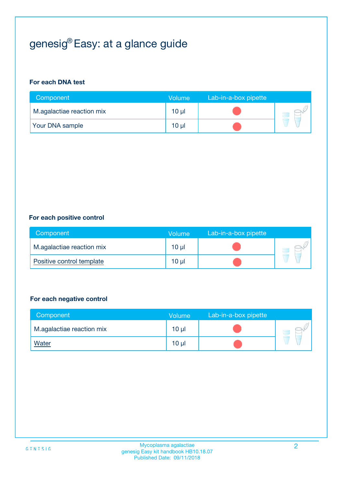## genesig® Easy: at a glance guide

#### **For each DNA test**

| Component                 | <b>Volume</b> | Lab-in-a-box pipette |  |
|---------------------------|---------------|----------------------|--|
| M.agalactiae reaction mix | 10 µl         |                      |  |
| <b>Your DNA sample</b>    | 10 µl         |                      |  |

#### **For each positive control**

| Component                 | Volume          | Lab-in-a-box pipette |  |
|---------------------------|-----------------|----------------------|--|
| M.agalactiae reaction mix | 10 <sub>µ</sub> |                      |  |
| Positive control template | 10 <sub>µ</sub> |                      |  |

#### **For each negative control**

| Component                 | <b>Volume</b>   | Lab-in-a-box pipette |  |
|---------------------------|-----------------|----------------------|--|
| M.agalactiae reaction mix | 10 <sub>µ</sub> |                      |  |
| <u>Water</u>              | 10 <sub>µ</sub> |                      |  |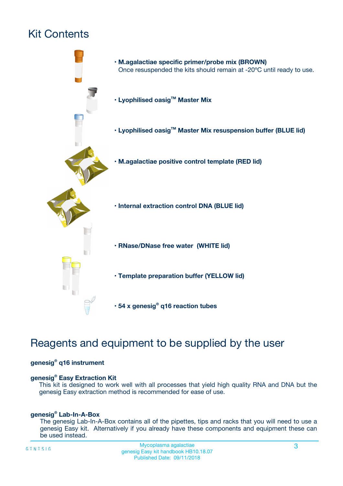## Kit Contents



## Reagents and equipment to be supplied by the user

#### **genesig® q16 instrument**

#### **genesig® Easy Extraction Kit**

This kit is designed to work well with all processes that yield high quality RNA and DNA but the genesig Easy extraction method is recommended for ease of use.

#### **genesig® Lab-In-A-Box**

The genesig Lab-In-A-Box contains all of the pipettes, tips and racks that you will need to use a genesig Easy kit. Alternatively if you already have these components and equipment these can be used instead.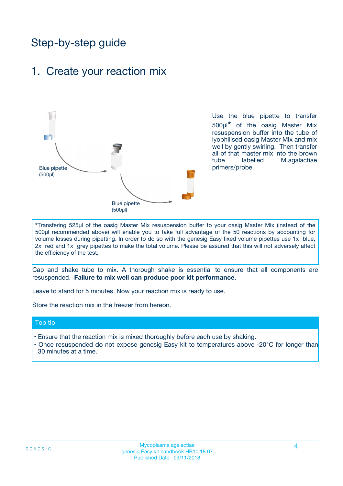## Step-by-step guide

### 1. Create your reaction mix



Use the blue pipette to transfer 500µl**\*** of the oasig Master Mix resuspension buffer into the tube of lyophilised oasig Master Mix and mix well by gently swirling. Then transfer all of that master mix into the brown tube labelled M.agalactiae primers/probe.

**\***Transfering 525µl of the oasig Master Mix resuspension buffer to your oasig Master Mix (instead of the 500µl recommended above) will enable you to take full advantage of the 50 reactions by accounting for volume losses during pipetting. In order to do so with the genesig Easy fixed volume pipettes use 1x blue, 2x red and 1x grey pipettes to make the total volume. Please be assured that this will not adversely affect the efficiency of the test.

Cap and shake tube to mix. A thorough shake is essential to ensure that all components are resuspended. **Failure to mix well can produce poor kit performance.**

Leave to stand for 5 minutes. Now your reaction mix is ready to use.

Store the reaction mix in the freezer from hereon.

#### Top tip

- Ensure that the reaction mix is mixed thoroughly before each use by shaking.
- **•** Once resuspended do not expose genesig Easy kit to temperatures above -20°C for longer than 30 minutes at a time.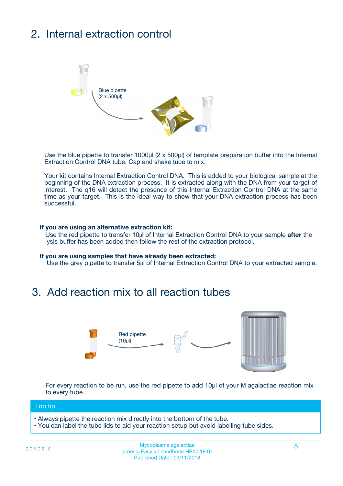## 2. Internal extraction control



Use the blue pipette to transfer 1000µl (2 x 500µl) of template preparation buffer into the Internal Extraction Control DNA tube. Cap and shake tube to mix.

Your kit contains Internal Extraction Control DNA. This is added to your biological sample at the beginning of the DNA extraction process. It is extracted along with the DNA from your target of interest. The q16 will detect the presence of this Internal Extraction Control DNA at the same time as your target. This is the ideal way to show that your DNA extraction process has been **successful.** 

#### **If you are using an alternative extraction kit:**

Use the red pipette to transfer 10µl of Internal Extraction Control DNA to your sample **after** the lysis buffer has been added then follow the rest of the extraction protocol.

#### **If you are using samples that have already been extracted:**

Use the grey pipette to transfer 5µl of Internal Extraction Control DNA to your extracted sample.

### 3. Add reaction mix to all reaction tubes



For every reaction to be run, use the red pipette to add 10µl of your M.agalactiae reaction mix to every tube.

#### Top tip

- Always pipette the reaction mix directly into the bottom of the tube.
- You can label the tube lids to aid your reaction setup but avoid labelling tube sides.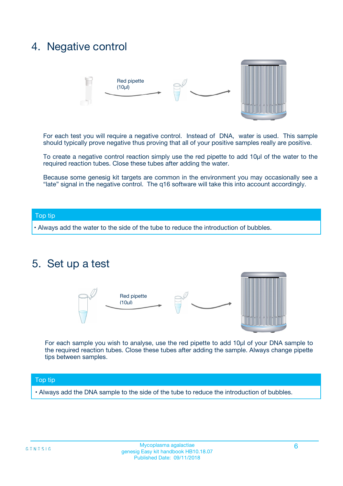### 4. Negative control



For each test you will require a negative control. Instead of DNA, water is used. This sample should typically prove negative thus proving that all of your positive samples really are positive.

To create a negative control reaction simply use the red pipette to add 10µl of the water to the required reaction tubes. Close these tubes after adding the water.

Because some genesig kit targets are common in the environment you may occasionally see a "late" signal in the negative control. The q16 software will take this into account accordingly.

#### Top tip

**•** Always add the water to the side of the tube to reduce the introduction of bubbles.

### 5. Set up a test



For each sample you wish to analyse, use the red pipette to add 10µl of your DNA sample to the required reaction tubes. Close these tubes after adding the sample. Always change pipette tips between samples.

#### Top tip

**•** Always add the DNA sample to the side of the tube to reduce the introduction of bubbles.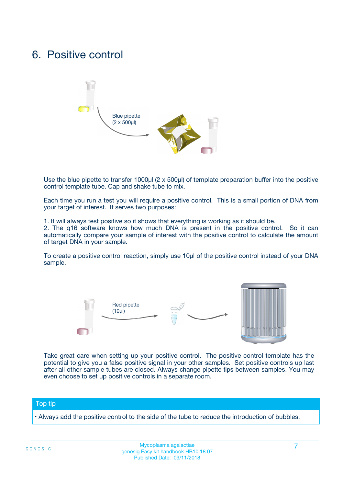### 6. Positive control



Use the blue pipette to transfer 1000µl (2 x 500µl) of template preparation buffer into the positive control template tube. Cap and shake tube to mix.

Each time you run a test you will require a positive control. This is a small portion of DNA from your target of interest. It serves two purposes:

1. It will always test positive so it shows that everything is working as it should be.

2. The q16 software knows how much DNA is present in the positive control. So it can automatically compare your sample of interest with the positive control to calculate the amount of target DNA in your sample.

To create a positive control reaction, simply use 10µl of the positive control instead of your DNA sample.



Take great care when setting up your positive control. The positive control template has the potential to give you a false positive signal in your other samples. Set positive controls up last after all other sample tubes are closed. Always change pipette tips between samples. You may even choose to set up positive controls in a separate room.

#### Top tip

**•** Always add the positive control to the side of the tube to reduce the introduction of bubbles.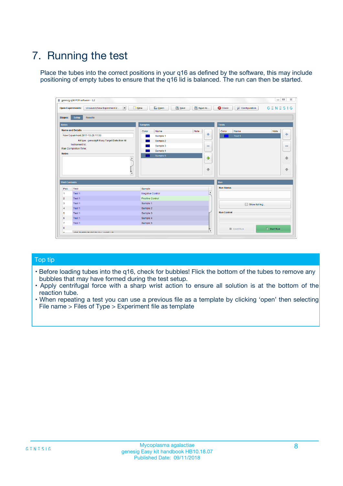## 7. Running the test

Place the tubes into the correct positions in your q16 as defined by the software, this may include positioning of empty tubes to ensure that the q16 lid is balanced. The run can then be started.

| genesig q16 PCR software - 1.2                                               |                                     | $\Box$                                                                                  |
|------------------------------------------------------------------------------|-------------------------------------|-----------------------------------------------------------------------------------------|
| Unsaved (New Experiment 2<br>$\vert \cdot \vert$<br><b>Open Experiments:</b> | <b>D</b> Open<br>Save<br>$\Box$ New | Save As<br><b>C</b> Close<br>$G \equiv N \equiv S \mid G$<br><b>&amp; Configuration</b> |
| Setup<br><b>Results</b><br><b>Stages:</b>                                    |                                     |                                                                                         |
| <b>Notes</b>                                                                 | Samples                             | <b>Tests</b>                                                                            |
| <b>Name and Details</b>                                                      | Color<br>Name                       | Note<br>Color<br>Note<br>Name                                                           |
| New Experiment 2017-10-26 11:06                                              | Sample 1                            | 条<br>علي<br>Test 1                                                                      |
| Kit type: genesig® Easy Target Detection kit                                 | Sample 2                            |                                                                                         |
| Instrument Id.:                                                              | Sample 3                            | $\qquad \qquad \blacksquare$<br>$\qquad \qquad \blacksquare$                            |
| Run Completion Time:                                                         | Sample 4                            |                                                                                         |
| <b>Notes</b>                                                                 | Sample 5<br>A<br>v                  | $\triangle$<br>4<br>$\oplus$<br>₩                                                       |
| <b>Well Contents</b>                                                         |                                     | <b>Run</b>                                                                              |
| Pos.<br>Test                                                                 | Sample                              | <b>Run Status</b>                                                                       |
| Test 1<br>-1                                                                 | <b>Negative Control</b>             | $\blacktriangle$                                                                        |
| $\overline{2}$<br>Test 1                                                     | <b>Positive Control</b>             |                                                                                         |
| $\overline{\mathbf{3}}$<br>Test 1                                            | Sample 1                            | Show full log                                                                           |
| Test 1<br>$\overline{4}$                                                     | Sample 2                            |                                                                                         |
| 5<br>Test 1                                                                  | Sample 3                            | <b>Run Control</b>                                                                      |
| 6<br>Test 1                                                                  | Sample 4                            |                                                                                         |
| $\overline{7}$<br>Test 1                                                     | Sample 5                            |                                                                                         |
| 8                                                                            |                                     | $\triangleright$ Start Run<br>Abort Run                                                 |
| <b>JOD FURTY TUDE TO BUILDED IN</b>                                          |                                     | $\overline{\mathbf{v}}$                                                                 |

#### Top tip

- Before loading tubes into the q16, check for bubbles! Flick the bottom of the tubes to remove any bubbles that may have formed during the test setup.
- Apply centrifugal force with a sharp wrist action to ensure all solution is at the bottom of the reaction tube.
- When repeating a test you can use a previous file as a template by clicking 'open' then selecting File name > Files of Type > Experiment file as template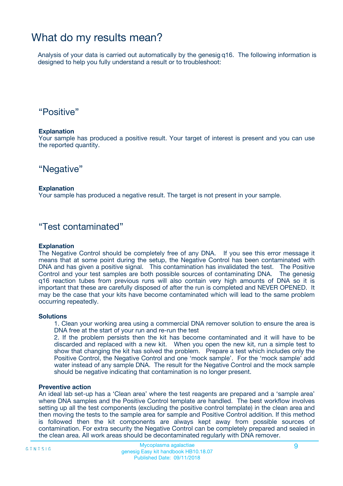### What do my results mean?

Analysis of your data is carried out automatically by the genesig q16. The following information is designed to help you fully understand a result or to troubleshoot:

### "Positive"

#### **Explanation**

Your sample has produced a positive result. Your target of interest is present and you can use the reported quantity.

"Negative"

#### **Explanation**

Your sample has produced a negative result. The target is not present in your sample.

### "Test contaminated"

#### **Explanation**

The Negative Control should be completely free of any DNA. If you see this error message it means that at some point during the setup, the Negative Control has been contaminated with DNA and has given a positive signal. This contamination has invalidated the test. The Positive Control and your test samples are both possible sources of contaminating DNA. The genesig q16 reaction tubes from previous runs will also contain very high amounts of DNA so it is important that these are carefully disposed of after the run is completed and NEVER OPENED. It may be the case that your kits have become contaminated which will lead to the same problem occurring repeatedly.

#### **Solutions**

1. Clean your working area using a commercial DNA remover solution to ensure the area is DNA free at the start of your run and re-run the test

2. If the problem persists then the kit has become contaminated and it will have to be discarded and replaced with a new kit. When you open the new kit, run a simple test to show that changing the kit has solved the problem. Prepare a test which includes only the Positive Control, the Negative Control and one 'mock sample'. For the 'mock sample' add water instead of any sample DNA. The result for the Negative Control and the mock sample should be negative indicating that contamination is no longer present.

#### **Preventive action**

An ideal lab set-up has a 'Clean area' where the test reagents are prepared and a 'sample area' where DNA samples and the Positive Control template are handled. The best workflow involves setting up all the test components (excluding the positive control template) in the clean area and then moving the tests to the sample area for sample and Positive Control addition. If this method is followed then the kit components are always kept away from possible sources of contamination. For extra security the Negative Control can be completely prepared and sealed in the clean area. All work areas should be decontaminated regularly with DNA remover.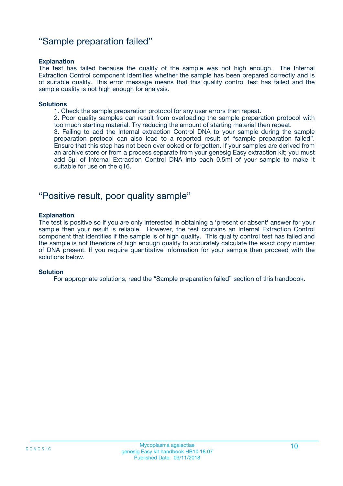### "Sample preparation failed"

#### **Explanation**

The test has failed because the quality of the sample was not high enough. The Internal Extraction Control component identifies whether the sample has been prepared correctly and is of suitable quality. This error message means that this quality control test has failed and the sample quality is not high enough for analysis.

#### **Solutions**

1. Check the sample preparation protocol for any user errors then repeat.

2. Poor quality samples can result from overloading the sample preparation protocol with too much starting material. Try reducing the amount of starting material then repeat.

3. Failing to add the Internal extraction Control DNA to your sample during the sample preparation protocol can also lead to a reported result of "sample preparation failed". Ensure that this step has not been overlooked or forgotten. If your samples are derived from an archive store or from a process separate from your genesig Easy extraction kit; you must add 5µl of Internal Extraction Control DNA into each 0.5ml of your sample to make it suitable for use on the q16.

### "Positive result, poor quality sample"

#### **Explanation**

The test is positive so if you are only interested in obtaining a 'present or absent' answer for your sample then your result is reliable. However, the test contains an Internal Extraction Control component that identifies if the sample is of high quality. This quality control test has failed and the sample is not therefore of high enough quality to accurately calculate the exact copy number of DNA present. If you require quantitative information for your sample then proceed with the solutions below.

#### **Solution**

For appropriate solutions, read the "Sample preparation failed" section of this handbook.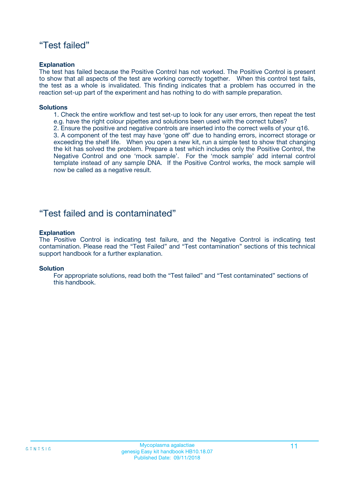### "Test failed"

#### **Explanation**

The test has failed because the Positive Control has not worked. The Positive Control is present to show that all aspects of the test are working correctly together. When this control test fails, the test as a whole is invalidated. This finding indicates that a problem has occurred in the reaction set-up part of the experiment and has nothing to do with sample preparation.

#### **Solutions**

- 1. Check the entire workflow and test set-up to look for any user errors, then repeat the test e.g. have the right colour pipettes and solutions been used with the correct tubes?
- 2. Ensure the positive and negative controls are inserted into the correct wells of your q16.

3. A component of the test may have 'gone off' due to handing errors, incorrect storage or exceeding the shelf life. When you open a new kit, run a simple test to show that changing the kit has solved the problem. Prepare a test which includes only the Positive Control, the Negative Control and one 'mock sample'. For the 'mock sample' add internal control template instead of any sample DNA. If the Positive Control works, the mock sample will now be called as a negative result.

### "Test failed and is contaminated"

#### **Explanation**

The Positive Control is indicating test failure, and the Negative Control is indicating test contamination. Please read the "Test Failed" and "Test contamination" sections of this technical support handbook for a further explanation.

#### **Solution**

For appropriate solutions, read both the "Test failed" and "Test contaminated" sections of this handbook.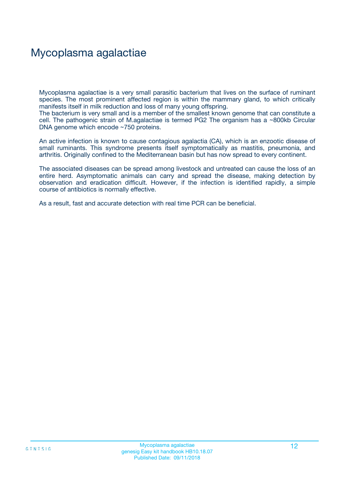## Mycoplasma agalactiae

Mycoplasma agalactiae is a very small parasitic bacterium that lives on the surface of ruminant species. The most prominent affected region is within the mammary gland, to which critically manifests itself in milk reduction and loss of many young offspring.

The bacterium is very small and is a member of the smallest known genome that can constitute a cell. The pathogenic strain of M.agalactiae is termed PG2 The organism has a ~800kb Circular DNA genome which encode ~750 proteins.

An active infection is known to cause contagious agalactia (CA), which is an enzootic disease of small ruminants. This syndrome presents itself symptomatically as mastitis, pneumonia, and arthritis. Originally confined to the Mediterranean basin but has now spread to every continent.

The associated diseases can be spread among livestock and untreated can cause the loss of an entire herd. Asymptomatic animals can carry and spread the disease, making detection by observation and eradication difficult. However, if the infection is identified rapidly, a simple course of antibiotics is normally effective.

As a result, fast and accurate detection with real time PCR can be beneficial.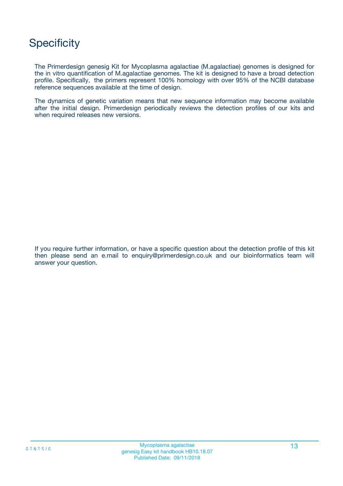## **Specificity**

The Primerdesign genesig Kit for Mycoplasma agalactiae (M.agalactiae) genomes is designed for the in vitro quantification of M.agalactiae genomes. The kit is designed to have a broad detection profile. Specifically, the primers represent 100% homology with over 95% of the NCBI database reference sequences available at the time of design.

The dynamics of genetic variation means that new sequence information may become available after the initial design. Primerdesign periodically reviews the detection profiles of our kits and when required releases new versions.

If you require further information, or have a specific question about the detection profile of this kit then please send an e.mail to enquiry@primerdesign.co.uk and our bioinformatics team will answer your question.